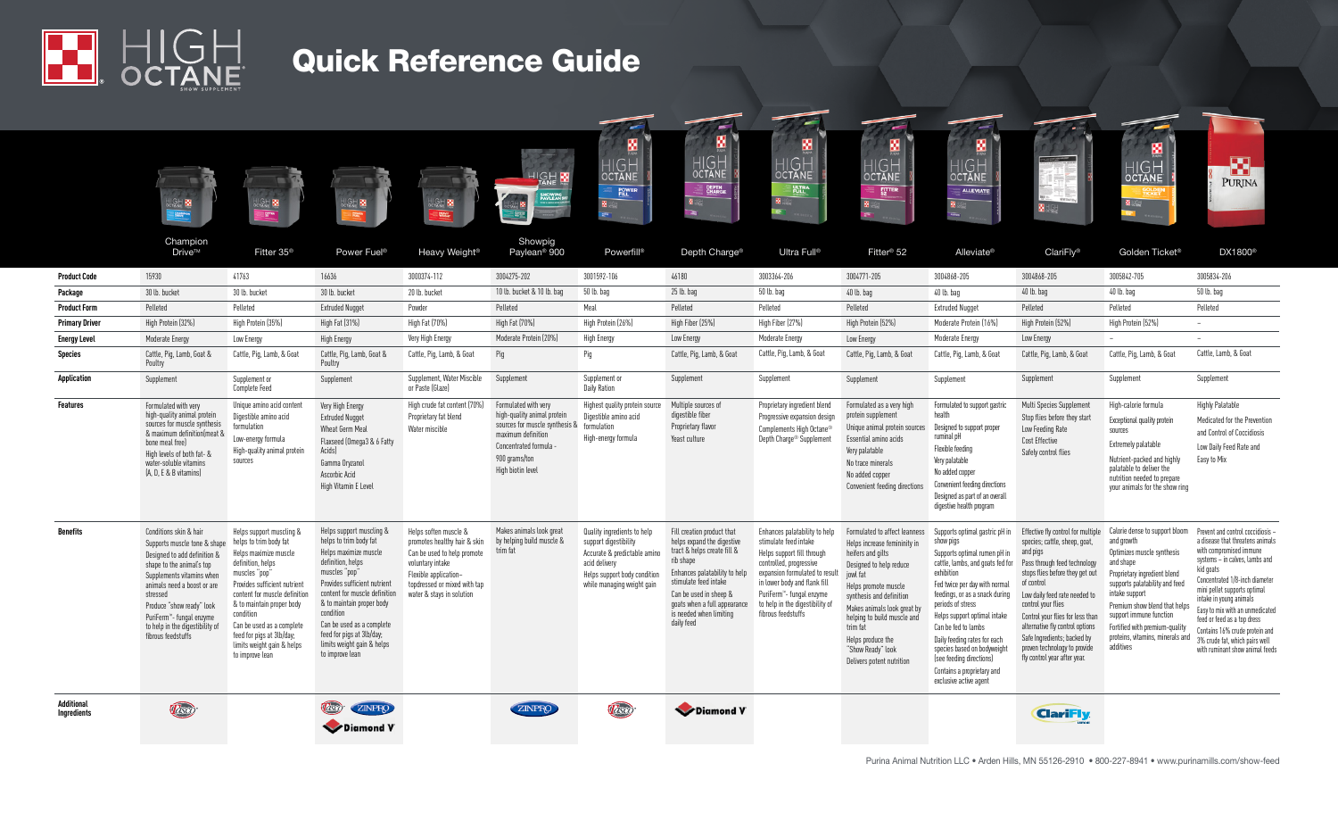

# Quick Reference Guide

|                                         | USH <b>M</b><br><b>External</b><br>Champion<br>Drive™                                                                                                                                                                                                                                                                      | UGH BI<br><b>Sync</b><br>Fitter 35 <sup>®</sup>                                                                                                                                                                                                                                                                                         | Power Fuel <sup>®</sup>                                                                                                                                                                                                                                                                                                                 | 2. B<br>Heavy Weight <sup>®</sup>                                                                                                                                                              | <b>ISH M</b><br>INOWPIG<br>YAYLEAN 90<br>Showpig<br>Paylean <sup>®</sup> 900                                                                                                          | 图<br><b>HIGH</b><br><b>OCTANE</b><br><b>POWER</b><br>Powerfill®                                                                                                     | ×<br>ø<br>HIGH<br><b>OCTANE</b><br><b>PEPTH</b><br>Depth Charge <sup>®</sup>                                                                                                                                                                                      | $\epsilon$<br>圝<br>HIGH<br><b>PLITRA</b><br>Ultra Full®                                                                                                                                                                                                                | ø<br><b>HIGH</b><br>OCTANE<br><b>FUTTER</b><br>Fitter <sup>®</sup> 52                                                                                                                                                                                                                                                          | 匶<br><b>IGH</b><br><b>OCTANE</b><br><b>ALLEVIATE</b><br>Alleviate <sup>®</sup>                                                                                                                                                                                                                                                                                                                                                  | ClariFly <sup>®</sup>                                                                                                                                                                                                                                                                                                                                                                         | ø<br>HIGH<br>octane<br><b>March</b><br>Golden Ticket <sup>®</sup>                                                                                                                                                                                                                                                          | 囚<br><b>PURINA</b><br>DX1800 <sup>®</sup>                                                                                                                                                                                                                                                                                                                                                                             |
|-----------------------------------------|----------------------------------------------------------------------------------------------------------------------------------------------------------------------------------------------------------------------------------------------------------------------------------------------------------------------------|-----------------------------------------------------------------------------------------------------------------------------------------------------------------------------------------------------------------------------------------------------------------------------------------------------------------------------------------|-----------------------------------------------------------------------------------------------------------------------------------------------------------------------------------------------------------------------------------------------------------------------------------------------------------------------------------------|------------------------------------------------------------------------------------------------------------------------------------------------------------------------------------------------|---------------------------------------------------------------------------------------------------------------------------------------------------------------------------------------|---------------------------------------------------------------------------------------------------------------------------------------------------------------------|-------------------------------------------------------------------------------------------------------------------------------------------------------------------------------------------------------------------------------------------------------------------|------------------------------------------------------------------------------------------------------------------------------------------------------------------------------------------------------------------------------------------------------------------------|--------------------------------------------------------------------------------------------------------------------------------------------------------------------------------------------------------------------------------------------------------------------------------------------------------------------------------|---------------------------------------------------------------------------------------------------------------------------------------------------------------------------------------------------------------------------------------------------------------------------------------------------------------------------------------------------------------------------------------------------------------------------------|-----------------------------------------------------------------------------------------------------------------------------------------------------------------------------------------------------------------------------------------------------------------------------------------------------------------------------------------------------------------------------------------------|----------------------------------------------------------------------------------------------------------------------------------------------------------------------------------------------------------------------------------------------------------------------------------------------------------------------------|-----------------------------------------------------------------------------------------------------------------------------------------------------------------------------------------------------------------------------------------------------------------------------------------------------------------------------------------------------------------------------------------------------------------------|
| <b>Product Code</b>                     | 15930                                                                                                                                                                                                                                                                                                                      | 41763                                                                                                                                                                                                                                                                                                                                   | 16636                                                                                                                                                                                                                                                                                                                                   | 3000374-112                                                                                                                                                                                    | 3004275-202                                                                                                                                                                           | 3001592-106                                                                                                                                                         | 46180                                                                                                                                                                                                                                                             | 3003364-206                                                                                                                                                                                                                                                            | 3004771-205                                                                                                                                                                                                                                                                                                                    | 3004868-205                                                                                                                                                                                                                                                                                                                                                                                                                     | 3004868-205                                                                                                                                                                                                                                                                                                                                                                                   | 3005842-705                                                                                                                                                                                                                                                                                                                | 3005834-206                                                                                                                                                                                                                                                                                                                                                                                                           |
| Package                                 | 30 lb. bucket                                                                                                                                                                                                                                                                                                              | 30 lb. bucket                                                                                                                                                                                                                                                                                                                           | 30 lb. bucket                                                                                                                                                                                                                                                                                                                           | 20 lb. bucket                                                                                                                                                                                  | 10 lb. bucket & 10 lb. bag                                                                                                                                                            | 50 lb. bao                                                                                                                                                          | 25 lb. bao                                                                                                                                                                                                                                                        | 50 lb. bao                                                                                                                                                                                                                                                             | 40 lb. bag                                                                                                                                                                                                                                                                                                                     | 40 lb. bao                                                                                                                                                                                                                                                                                                                                                                                                                      | 40 lb. bao                                                                                                                                                                                                                                                                                                                                                                                    | 40 lb. bag                                                                                                                                                                                                                                                                                                                 | 50 lb. bag                                                                                                                                                                                                                                                                                                                                                                                                            |
| <b>Product Form</b>                     | Pelleted                                                                                                                                                                                                                                                                                                                   | Pelleted                                                                                                                                                                                                                                                                                                                                | <b>Extruded Nugget</b>                                                                                                                                                                                                                                                                                                                  | Powder                                                                                                                                                                                         | Pelleted                                                                                                                                                                              | Meal                                                                                                                                                                | Pelleted                                                                                                                                                                                                                                                          | Pelleted                                                                                                                                                                                                                                                               | Pelleted                                                                                                                                                                                                                                                                                                                       | Extruded Nuaget                                                                                                                                                                                                                                                                                                                                                                                                                 | Pelleted                                                                                                                                                                                                                                                                                                                                                                                      | Pelleted                                                                                                                                                                                                                                                                                                                   | Pelleted                                                                                                                                                                                                                                                                                                                                                                                                              |
| <b>Primary Driver</b>                   | High Protein (32%)                                                                                                                                                                                                                                                                                                         | High Protein (35%)                                                                                                                                                                                                                                                                                                                      | High Fat (31%)                                                                                                                                                                                                                                                                                                                          | High Fat (70%)                                                                                                                                                                                 | High Fat (70%)                                                                                                                                                                        | High Protein (26%)                                                                                                                                                  | High Fiber (25%)                                                                                                                                                                                                                                                  | High Fiber (27%)                                                                                                                                                                                                                                                       | High Protein (52%)                                                                                                                                                                                                                                                                                                             | Moderate Protein (16%)                                                                                                                                                                                                                                                                                                                                                                                                          | High Protein (52%)                                                                                                                                                                                                                                                                                                                                                                            | High Protein (52%)                                                                                                                                                                                                                                                                                                         | $\sim$                                                                                                                                                                                                                                                                                                                                                                                                                |
| <b>Energy Level</b>                     | Moderate Energy                                                                                                                                                                                                                                                                                                            | Low Energy                                                                                                                                                                                                                                                                                                                              | High Energy                                                                                                                                                                                                                                                                                                                             | Very High Energy                                                                                                                                                                               | Moderate Protein (20%)                                                                                                                                                                | <b>High Energy</b>                                                                                                                                                  | Low Energy                                                                                                                                                                                                                                                        | Moderate Energy                                                                                                                                                                                                                                                        | Low Energy                                                                                                                                                                                                                                                                                                                     | Moderate Energy                                                                                                                                                                                                                                                                                                                                                                                                                 | Low Energy                                                                                                                                                                                                                                                                                                                                                                                    | ٠                                                                                                                                                                                                                                                                                                                          |                                                                                                                                                                                                                                                                                                                                                                                                                       |
| Species                                 | Cattle, Pig, Lamb, Goat &<br>Poultry                                                                                                                                                                                                                                                                                       | Cattle, Pig, Lamb, & Goat                                                                                                                                                                                                                                                                                                               | Cattle, Pig, Lamb, Goat &<br>Poultry                                                                                                                                                                                                                                                                                                    | Cattle, Pig, Lamb, & Goat                                                                                                                                                                      | Pig                                                                                                                                                                                   | Pig                                                                                                                                                                 | Cattle, Pig, Lamb, & Goat                                                                                                                                                                                                                                         | Cattle, Pig, Lamb, & Goat                                                                                                                                                                                                                                              | Cattle, Pig, Lamb, & Goat                                                                                                                                                                                                                                                                                                      | Cattle, Pig, Lamb, & Goat                                                                                                                                                                                                                                                                                                                                                                                                       | Cattle, Pig, Lamb, & Goat                                                                                                                                                                                                                                                                                                                                                                     | Cattle, Pig, Lamb, & Goat                                                                                                                                                                                                                                                                                                  | Cattle, Lamb, & Goat                                                                                                                                                                                                                                                                                                                                                                                                  |
| Application                             | Supplement                                                                                                                                                                                                                                                                                                                 | Supplement or<br><b>Complete Feed</b>                                                                                                                                                                                                                                                                                                   | Supplement                                                                                                                                                                                                                                                                                                                              | Supplement, Water Miscible<br>or Paste (Glaze)                                                                                                                                                 | Supplement                                                                                                                                                                            | Supplement or<br><b>Daily Ration</b>                                                                                                                                | Supplement                                                                                                                                                                                                                                                        | Supplement                                                                                                                                                                                                                                                             | Supplement                                                                                                                                                                                                                                                                                                                     | Supplement                                                                                                                                                                                                                                                                                                                                                                                                                      | Supplement                                                                                                                                                                                                                                                                                                                                                                                    | Supplement                                                                                                                                                                                                                                                                                                                 | Supplement                                                                                                                                                                                                                                                                                                                                                                                                            |
| <b>Features</b>                         | Formulated with verv<br>high-quality animal protein<br>sources for muscle synthesis<br>& maximum definition(meat &<br>bone meal free)<br>High levels of both fat- &<br>water-soluble vitamins<br>(A. D. E & B vitamins)                                                                                                    | Unique amino acid content<br>Digestible amino acid<br>formulation<br>Low-energy formula<br>High-quality animal protein<br>sources                                                                                                                                                                                                       | Very High Energy<br><b>Extruded Nugget</b><br><b>Wheat Germ Meal</b><br>Flaxseed (Omega3 & 6 Fatty<br>Acids<br>Gamma Oryzanol<br>Ascorbic Acid<br>High Vitamin E Level                                                                                                                                                                  | High crude fat content (70%)<br>Proprietary fat blend<br>Water miscible                                                                                                                        | Formulated with verv<br>high-quality animal protein<br>sources for muscle synthesis & formulation<br>maximum definition<br>Concentrated formula<br>900 orams/ton<br>High biotin level | Highest quality protein source<br>Digestible amino acid<br>High-energy formula                                                                                      | Multiple sources of<br>digestible fiber<br>Proprietary flavor<br>Yeast culture                                                                                                                                                                                    | Proprietary ingredient blend<br>Progressive expansion design<br>Complements High Octane <sup>®</sup><br>Depth Charge <sup>®</sup> Supplement                                                                                                                           | Formulated as a very high<br>protein supplement<br>Unique animal protein sources<br>Essential amino acids<br>Very palatable<br>No trace minerals<br>No added copper<br>Convenient feeding directions                                                                                                                           | Formulated to support gastric<br>health<br>Designed to support proper<br>ruminal pH<br>Flexible feeding<br>Very palatable<br>No added copper<br><b>Convenient feeding directions</b><br>Designed as part of an overall<br>digestive health program                                                                                                                                                                              | Multi Species Supplement<br>Stop flies before they start<br>Low Feeding Rate<br>Cost Effective<br>Safely control flies                                                                                                                                                                                                                                                                        | High-calorie formula<br>Exceptional quality protein<br>sources<br>Extremely palatable<br>Nutrient-packed and highly<br>nalatable to deliver the<br>nutrition needed to prepare<br>vour animals for the show ring                                                                                                           | <b>Highly Palatable</b><br>Medicated for the Prevention<br>and Control of Coccidiosis<br>Low Daily Feed Rate and<br>Easy to Mix                                                                                                                                                                                                                                                                                       |
| <b>Benefits</b>                         | Conditions skin & hair<br>Supports muscle tone & shape<br>Designed to add definition &<br>shape to the animal's top<br>Supplements vitamins when<br>animals need a boost or are<br>stressed<br>Produce "show ready" look<br>PuriFerm <sup>®</sup> - fungal enzyme<br>to help in the digestibility of<br>fibrous feedstuffs | Helps support muscling &<br>helps to trim body fat<br>Helps maximize muscle<br>definition, helps<br>muscles "pop"<br>Provides sufficient nutrient<br>content for muscle definition<br>& to maintain proper body<br>condition<br>Can be used as a complete<br>feed for pigs at 3lb/day;<br>limits weight gain & helps<br>to improve lean | Helps support muscling &<br>helps to trim body fat<br>Helps maximize muscle<br>definition, helps<br>muscles "pop"<br>Provides sufficient nutrient<br>content for muscle definition<br>& to maintain proper body<br>condition<br>Can be used as a complete<br>feed for pigs at 3lb/day;<br>limits weight gain & helps<br>to improve lean | Helps soften muscle &<br>promotes healthy hair & skin<br>Can be used to help promote<br>voluntary intake<br>Flexible application-<br>tondressed or mixed with tan<br>water & stavs in solution | Makes animals look great<br>by helping build muscle &<br>trim fat                                                                                                                     | Quality ingredients to help<br>support digestibility<br>Accurate & predictable amino<br>acid delivery<br>Helps support body condition<br>while managing weight gain | Fill creation product that<br>helps expand the digestive<br>tract & helps create fill &<br>rib shape<br>Enhances palatability to help<br>stimulate feed intake<br>Can be used in sheep &<br>goats when a full appearance<br>is needed when limiting<br>daily feed | Enhances palatability to help<br>stimulate feed intake<br>Helps support fill through<br>controlled, progressive<br>expansion formulated to result<br>in lower body and flank fill<br>PuriFerm™- fungal enzyme<br>to help in the digestibility of<br>fibrous feedstuffs | Formulated to affect leanness<br>Helps increase femininity in<br>heifers and gilts<br>Designed to help reduce<br>inwl fat<br>Helps promote muscle<br>synthesis and definition<br>Makes animals look great by<br>helping to build muscle and<br>trim fat<br>Helps produce the<br>"Show Ready" look<br>Delivers potent nutrition | Supports optimal gastric pH in<br>show pigs<br>Supports optimal rumen pH in<br>cattle, lambs, and goats fed for<br>exhibition<br>Fed twice per day with normal<br>feedinas, or as a snack during<br>periods of stress<br>Helps support optimal intake<br>Can be fed to lambs<br>Daily feeding rates for each<br>species based on bodyweight<br>(see feeding directions)<br>Contains a proprietary and<br>exclusive active agent | Effective fly control for multiple<br>species; cattle, sheep, goat,<br>and pigs<br>Pass through feed technology<br>stops flies before they get out<br>of control<br>Low daily feed rate needed to<br>control your flies<br>Control your flies for less than<br>alternative fly control options<br>Safe Ingredients; backed by<br>proven technology to provide<br>fly control year after year. | Calorie dense to support bloom<br>and growth<br>Optimizes muscle synthesis<br>and shape<br>Proprietary ingredient blend<br>supports palatability and feed<br>intake support<br>Premium show blend that helps<br>support immune function<br>Fortified with premium-quality<br>proteins, vitamins, minerals and<br>additives | Prevent and control coccidiosis -<br>a disease that threatens animals<br>with compromised immune<br>systems - in calves, lambs and<br>kid ooats<br>Concentrated 1/8-inch diameter<br>mini pellet supports optimal<br>intake in young animals<br>Easy to mix with an unmedicated<br>feed or feed as a top dress<br>Contains 16% crude protein and<br>3% crude fat, which pairs well<br>with ruminant show animal feeds |
| <b>Additional</b><br><b>Ingredients</b> | Tasco                                                                                                                                                                                                                                                                                                                      |                                                                                                                                                                                                                                                                                                                                         | <b>Jasco</b><br>ZINPRO<br>Diamond V                                                                                                                                                                                                                                                                                                     |                                                                                                                                                                                                | ZINPRO                                                                                                                                                                                | Tasco                                                                                                                                                               | Diamond V                                                                                                                                                                                                                                                         |                                                                                                                                                                                                                                                                        |                                                                                                                                                                                                                                                                                                                                |                                                                                                                                                                                                                                                                                                                                                                                                                                 | <b>ClariFly</b>                                                                                                                                                                                                                                                                                                                                                                               |                                                                                                                                                                                                                                                                                                                            |                                                                                                                                                                                                                                                                                                                                                                                                                       |